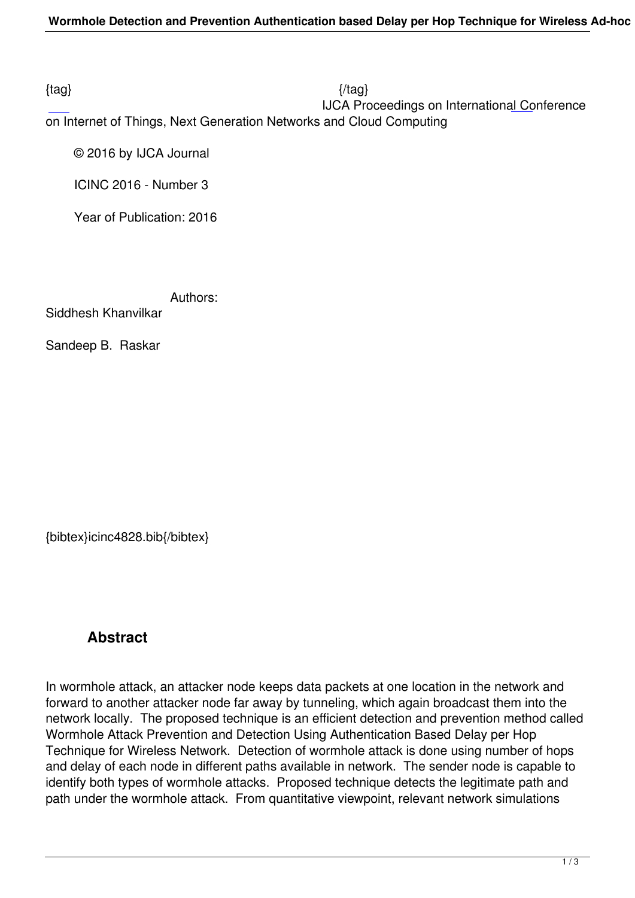$\{tag\}$ 

 IJCA Proceedings on International Conference on Internet of Things, Next Generation Networks and Cloud Computing

© 2016 by IJCA Journal

ICINC 2016 - Number 3

Year of Publication: 2016

Authors:

Siddhesh Khanvilkar

Sandeep B. Raskar

{bibtex}icinc4828.bib{/bibtex}

## **Abstract**

In wormhole attack, an attacker node keeps data packets at one location in the network and forward to another attacker node far away by tunneling, which again broadcast them into the network locally. The proposed technique is an efficient detection and prevention method called Wormhole Attack Prevention and Detection Using Authentication Based Delay per Hop Technique for Wireless Network. Detection of wormhole attack is done using number of hops and delay of each node in different paths available in network. The sender node is capable to identify both types of wormhole attacks. Proposed technique detects the legitimate path and path under the wormhole attack. From quantitative viewpoint, relevant network simulations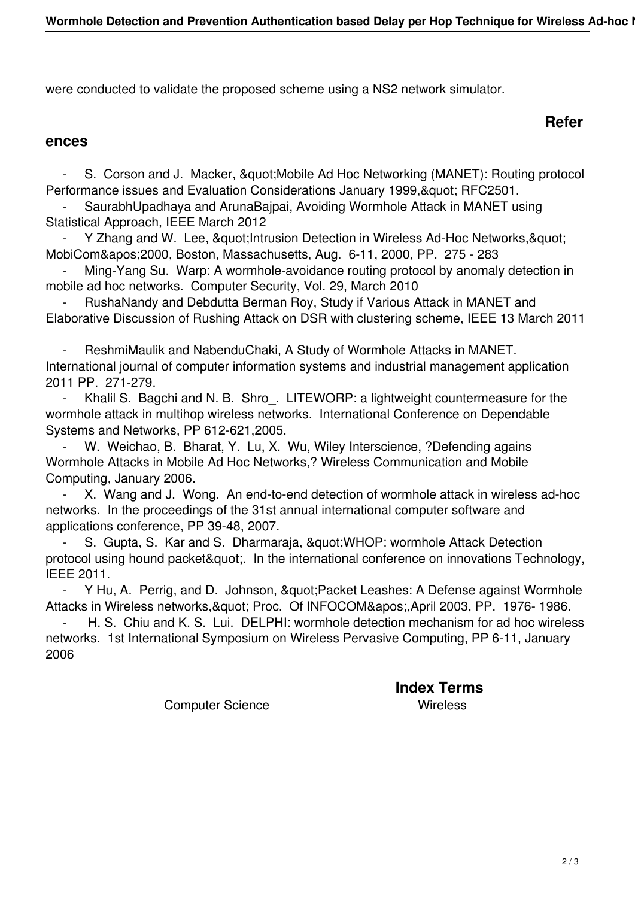were conducted to validate the proposed scheme using a NS2 network simulator.

### **Refer**

#### **ences**

S. Corson and J. Macker, & quot; Mobile Ad Hoc Networking (MANET): Routing protocol Performance issues and Evaluation Considerations January 1999, & quot; RFC2501.

 - SaurabhUpadhaya and ArunaBajpai, Avoiding Wormhole Attack in MANET using Statistical Approach, IEEE March 2012

Y Zhang and W. Lee, & quot; Intrusion Detection in Wireless Ad-Hoc Networks, & quot; MobiCom' 2000, Boston, Massachusetts, Aug. 6-11, 2000, PP. 275 - 283

Ming-Yang Su. Warp: A wormhole-avoidance routing protocol by anomaly detection in mobile ad hoc networks. Computer Security, Vol. 29, March 2010

RushaNandy and Debdutta Berman Roy, Study if Various Attack in MANET and Elaborative Discussion of Rushing Attack on DSR with clustering scheme, IEEE 13 March 2011

 - ReshmiMaulik and NabenduChaki, A Study of Wormhole Attacks in MANET. International journal of computer information systems and industrial management application 2011 PP. 271-279.

 - Khalil S. Bagchi and N. B. Shro\_. LITEWORP: a lightweight countermeasure for the wormhole attack in multihop wireless networks. International Conference on Dependable Systems and Networks, PP 612-621,2005.

W. Weichao, B. Bharat, Y. Lu, X. Wu, Wiley Interscience, ?Defending agains Wormhole Attacks in Mobile Ad Hoc Networks,? Wireless Communication and Mobile Computing, January 2006.

 - X. Wang and J. Wong. An end-to-end detection of wormhole attack in wireless ad-hoc networks. In the proceedings of the 31st annual international computer software and applications conference, PP 39-48, 2007.

S. Gupta, S. Kar and S. Dharmaraja, & quot: WHOP: wormhole Attack Detection protocol using hound packet&quot: In the international conference on innovations Technology, IEEE 2011.

- Y Hu, A. Perrig, and D. Johnson, & quot; Packet Leashes: A Defense against Wormhole Attacks in Wireless networks, & quot; Proc. Of INFOCOM& apos; April 2003, PP. 1976-1986.

H. S. Chiu and K. S. Lui. DELPHI: wormhole detection mechanism for ad hoc wireless networks. 1st International Symposium on Wireless Pervasive Computing, PP 6-11, January 2006

**Index Terms** 

Computer Science Wireless